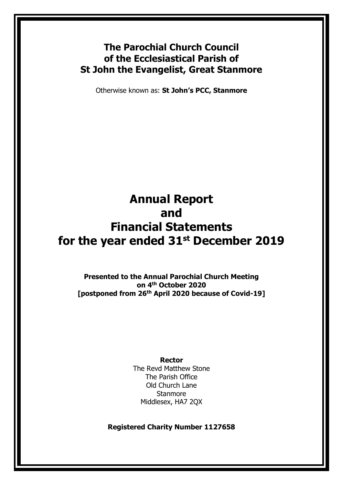# **The Parochial Church Council of the Ecclesiastical Parish of St John the Evangelist, Great Stanmore**

Otherwise known as: **St John's PCC, Stanmore**

# **Annual Report and Financial Statements for the year ended 31st December 2019**

**Presented to the Annual Parochial Church Meeting on 4 th October 2020 [postponed from 26th April 2020 because of Covid-19]**

#### **Rector**

The Revd Matthew Stone The Parish Office Old Church Lane **Stanmore** Middlesex, HA7 2QX

**Registered Charity Number 1127658**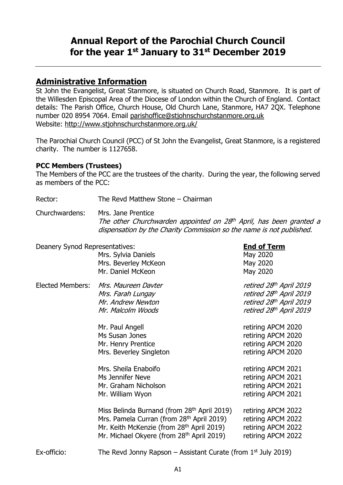# **Annual Report of the Parochial Church Council for the year 1 st January to 31st December 2019**

# **Administrative Information**

St John the Evangelist, Great Stanmore, is situated on Church Road, Stanmore. It is part of the Willesden Episcopal Area of the Diocese of London within the Church of England. Contact details: The Parish Office, Church House, Old Church Lane, Stanmore, HA7 2QX. Telephone number 020 8954 7064. Email [parishoffice@stjohnschurchstanmore.org.uk](mailto:parishoffice@stjohnschurchstanmore.org.uk) Website:<http://www.stjohnschurchstanmore.org.uk/>

The Parochial Church Council (PCC) of St John the Evangelist, Great Stanmore, is a registered charity. The number is 1127658.

### **PCC Members (Trustees)**

The Members of the PCC are the trustees of the charity. During the year, the following served as members of the PCC:

Rector: The Revd Matthew Stone – Chairman

Churchwardens: Mrs. Jane Prentice

The other Churchwarden appointed on 28<sup>th</sup> April, has been granted a dispensation by the Charity Commission so the name is not published.

| Deanery Synod Representatives: | Mrs. Sylvia Daniels<br>Mrs. Beverley McKeon<br>Mr. Daniel McKeon                                                                                                                                                                   | <b>End of Term</b><br>May 2020<br>May 2020<br>May 2020                                                   |
|--------------------------------|------------------------------------------------------------------------------------------------------------------------------------------------------------------------------------------------------------------------------------|----------------------------------------------------------------------------------------------------------|
| <b>Elected Members:</b>        | Mrs. Maureen Davter<br>Mrs. Farah Lungay<br>Mr. Andrew Newton<br>Mr. Malcolm Woods                                                                                                                                                 | retired 28th April 2019<br>retired 28th April 2019<br>retired 28th April 2019<br>retired 28th April 2019 |
|                                | Mr. Paul Angell<br>Ms Susan Jones<br>Mr. Henry Prentice<br>Mrs. Beverley Singleton                                                                                                                                                 | retiring APCM 2020<br>retiring APCM 2020<br>retiring APCM 2020<br>retiring APCM 2020                     |
|                                | Mrs. Sheila Enaboifo<br>Ms Jennifer Neve<br>Mr. Graham Nicholson<br>Mr. William Wyon                                                                                                                                               | retiring APCM 2021<br>retiring APCM 2021<br>retiring APCM 2021<br>retiring APCM 2021                     |
|                                | Miss Belinda Burnand (from 28 <sup>th</sup> April 2019)<br>Mrs. Pamela Curran (from 28 <sup>th</sup> April 2019)<br>Mr. Keith McKenzie (from 28 <sup>th</sup> April 2019)<br>Mr. Michael Okyere (from 28 <sup>th</sup> April 2019) | retiring APCM 2022<br>retiring APCM 2022<br>retiring APCM 2022<br>retiring APCM 2022                     |
| Ex-officio:                    | The Revd Jonny Rapson – Assistant Curate (from $1st$ July 2019)                                                                                                                                                                    |                                                                                                          |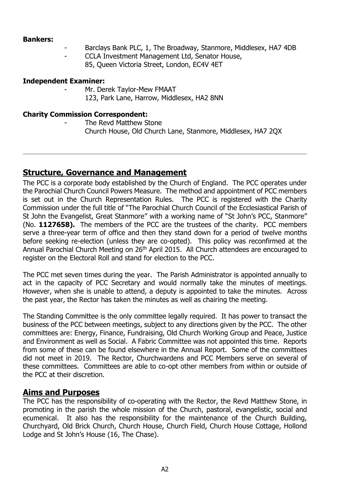#### **Bankers:**

- Barclays Bank PLC, 1, The Broadway, Stanmore, Middlesex, HA7 4DB
- CCLA Investment Management Ltd, Senator House,
	- 85, Queen Victoria Street, London, EC4V 4ET

#### **Independent Examiner:**

- Mr. Derek Taylor-Mew FMAAT
	- 123, Park Lane, Harrow, Middlesex, HA2 8NN

#### **Charity Commission Correspondent:**

The Revd Matthew Stone Church House, Old Church Lane, Stanmore, Middlesex, HA7 2QX

# **Structure, Governance and Management**

The PCC is a corporate body established by the Church of England. The PCC operates under the Parochial Church Council Powers Measure. The method and appointment of PCC members is set out in the Church Representation Rules. The PCC is registered with the Charity Commission under the full title of "The Parochial Church Council of the Ecclesiastical Parish of St John the Evangelist, Great Stanmore" with a working name of "St John's PCC, Stanmore" (No. **1127658).** The members of the PCC are the trustees of the charity. PCC members serve a three-year term of office and then they stand down for a period of twelve months before seeking re-election (unless they are co-opted). This policy was reconfirmed at the Annual Parochial Church Meeting on 26<sup>th</sup> April 2015. All Church attendees are encouraged to register on the Electoral Roll and stand for election to the PCC.

The PCC met seven times during the year. The Parish Administrator is appointed annually to act in the capacity of PCC Secretary and would normally take the minutes of meetings. However, when she is unable to attend, a deputy is appointed to take the minutes. Across the past year, the Rector has taken the minutes as well as chairing the meeting.

The Standing Committee is the only committee legally required. It has power to transact the business of the PCC between meetings, subject to any directions given by the PCC. The other committees are: Energy, Finance, Fundraising, Old Church Working Group and Peace, Justice and Environment as well as Social. A Fabric Committee was not appointed this time. Reports from some of these can be found elsewhere in the Annual Report. Some of the committees did not meet in 2019. The Rector, Churchwardens and PCC Members serve on several of these committees. Committees are able to co-opt other members from within or outside of the PCC at their discretion.

# **Aims and Purposes**

The PCC has the responsibility of co-operating with the Rector, the Revd Matthew Stone, in promoting in the parish the whole mission of the Church, pastoral, evangelistic, social and ecumenical. It also has the responsibility for the maintenance of the Church Building, Churchyard, Old Brick Church, Church House, Church Field, Church House Cottage, Hollond Lodge and St John's House (16, The Chase).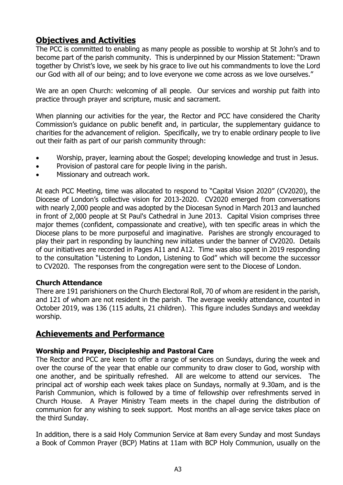# **Objectives and Activities**

The PCC is committed to enabling as many people as possible to worship at St John's and to become part of the parish community. This is underpinned by our Mission Statement: "Drawn together by Christ's love, we seek by his grace to live out his commandments to love the Lord our God with all of our being; and to love everyone we come across as we love ourselves."

We are an open Church: welcoming of all people. Our services and worship put faith into practice through prayer and scripture, music and sacrament.

When planning our activities for the year, the Rector and PCC have considered the Charity Commission's guidance on public benefit and, in particular, the supplementary guidance to charities for the advancement of religion. Specifically, we try to enable ordinary people to live out their faith as part of our parish community through:

- Worship, prayer, learning about the Gospel; developing knowledge and trust in Jesus.
- Provision of pastoral care for people living in the parish.
- Missionary and outreach work.

At each PCC Meeting, time was allocated to respond to "Capital Vision 2020" (CV2020), the Diocese of London's collective vision for 2013-2020. CV2020 emerged from conversations with nearly 2,000 people and was adopted by the Diocesan Synod in March 2013 and launched in front of 2,000 people at St Paul's Cathedral in June 2013. Capital Vision comprises three major themes (confident, compassionate and creative), with ten specific areas in which the Diocese plans to be more purposeful and imaginative. Parishes are strongly encouraged to play their part in responding by launching new initiates under the banner of CV2020. Details of our initiatives are recorded in Pages A11 and A12. Time was also spent in 2019 responding to the consultation "Listening to London, Listening to God" which will become the successor to CV2020. The responses from the congregation were sent to the Diocese of London.

### **Church Attendance**

There are 191 parishioners on the Church Electoral Roll, 70 of whom are resident in the parish, and 121 of whom are not resident in the parish. The average weekly attendance, counted in October 2019, was 136 (115 adults, 21 children). This figure includes Sundays and weekday worship.

# **Achievements and Performance**

### **Worship and Prayer, Discipleship and Pastoral Care**

The Rector and PCC are keen to offer a range of services on Sundays, during the week and over the course of the year that enable our community to draw closer to God, worship with one another, and be spiritually refreshed. All are welcome to attend our services. The principal act of worship each week takes place on Sundays, normally at 9.30am, and is the Parish Communion, which is followed by a time of fellowship over refreshments served in Church House. A Prayer Ministry Team meets in the chapel during the distribution of communion for any wishing to seek support. Most months an all-age service takes place on the third Sunday.

In addition, there is a said Holy Communion Service at 8am every Sunday and most Sundays a Book of Common Prayer (BCP) Matins at 11am with BCP Holy Communion, usually on the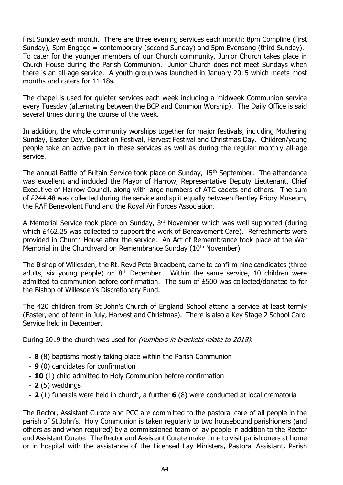first Sunday each month. There are three evening services each month: 8pm Compline (first Sunday), 5pm Engage = contemporary (second Sunday) and 5pm Evensong (third Sunday). To cater for the younger members of our Church community, Junior Church takes place in Church House during the Parish Communion. Junior Church does not meet Sundays when there is an all-age service. A youth group was launched in January 2015 which meets most months and caters for 11-18s.

The chapel is used for quieter services each week including a midweek Communion service every Tuesday (alternating between the BCP and Common Worship). The Daily Office is said several times during the course of the week.

In addition, the whole community worships together for major festivals, including Mothering Sunday, Easter Day, Dedication Festival, Harvest Festival and Christmas Day. Children/young people take an active part in these services as well as during the regular monthly all-age service.

The annual Battle of Britain Service took place on Sunday, 15<sup>th</sup> September. The attendance was excellent and included the Mayor of Harrow, Representative Deputy Lieutenant, Chief Executive of Harrow Council, along with large numbers of ATC cadets and others. The sum of £244.48 was collected during the service and split equally between Bentley Priory Museum, the RAF Benevolent Fund and the Royal Air Forces Association.

A Memorial Service took place on Sunday, 3<sup>rd</sup> November which was well supported (during which £462.25 was collected to support the work of Bereavement Care). Refreshments were provided in Church House after the service. An Act of Remembrance took place at the War Memorial in the Churchyard on Remembrance Sunday (10<sup>th</sup> November).

The Bishop of Willesden, the Rt. Revd Pete Broadbent, came to confirm nine candidates (three adults, six young people) on  $8<sup>th</sup>$  December. Within the same service, 10 children were admitted to communion before confirmation. The sum of £500 was collected/donated to for the Bishop of Willesden's Discretionary Fund.

The 420 children from St John's Church of England School attend a service at least termly (Easter, end of term in July, Harvest and Christmas). There is also a Key Stage 2 School Carol Service held in December.

During 2019 the church was used for (numbers in brackets relate to 2018):

- **- 8** (8) baptisms mostly taking place within the Parish Communion
- **- 9** (0) candidates for confirmation
- **- 10** (1) child admitted to Holy Communion before confirmation
- **- 2** (5) weddings
- **- 2** (1) funerals were held in church, a further **6** (8) were conducted at local crematoria

The Rector, Assistant Curate and PCC are committed to the pastoral care of all people in the parish of St John's. Holy Communion is taken regularly to two housebound parishioners (and others as and when required) by a commissioned team of lay people in addition to the Rector and Assistant Curate. The Rector and Assistant Curate make time to visit parishioners at home or in hospital with the assistance of the Licensed Lay Ministers, Pastoral Assistant, Parish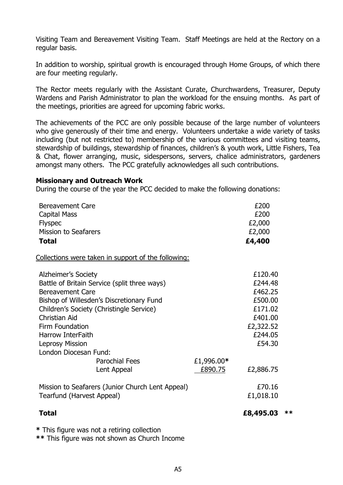Visiting Team and Bereavement Visiting Team. Staff Meetings are held at the Rectory on a regular basis.

In addition to worship, spiritual growth is encouraged through Home Groups, of which there are four meeting regularly.

The Rector meets regularly with the Assistant Curate, Churchwardens, Treasurer, Deputy Wardens and Parish Administrator to plan the workload for the ensuing months. As part of the meetings, priorities are agreed for upcoming fabric works.

The achievements of the PCC are only possible because of the large number of volunteers who give generously of their time and energy. Volunteers undertake a wide variety of tasks including (but not restricted to) membership of the various committees and visiting teams, stewardship of buildings, stewardship of finances, children's & youth work, Little Fishers, Tea & Chat, flower arranging, music, sidespersons, servers, chalice administrators, gardeners amongst many others. The PCC gratefully acknowledges all such contributions.

#### **Missionary and Outreach Work**

During the course of the year the PCC decided to make the following donations:

| <b>Bereavement Care</b><br>Capital Mass<br><b>Flyspec</b><br><b>Mission to Seafarers</b> |            | £200<br>£200<br>£2,000<br>£2,000 |      |
|------------------------------------------------------------------------------------------|------------|----------------------------------|------|
| <b>Total</b>                                                                             |            | £4,400                           |      |
| Collections were taken in support of the following:                                      |            |                                  |      |
| <b>Alzheimer's Society</b>                                                               |            | £120.40                          |      |
| Battle of Britain Service (split three ways)                                             |            | £244.48                          |      |
| <b>Bereavement Care</b>                                                                  |            | £462.25                          |      |
| Bishop of Willesden's Discretionary Fund                                                 |            | £500,00                          |      |
| Children's Society (Christingle Service)                                                 |            | £171.02                          |      |
| <b>Christian Aid</b>                                                                     |            | £401.00                          |      |
| Firm Foundation                                                                          |            | £2,322.52                        |      |
| Harrow InterFaith                                                                        |            | £244.05                          |      |
| <b>Leprosy Mission</b>                                                                   |            | £54.30                           |      |
| London Diocesan Fund:                                                                    |            |                                  |      |
| <b>Parochial Fees</b>                                                                    | £1,996.00* |                                  |      |
| Lent Appeal                                                                              | £890.75    | £2,886.75                        |      |
| Mission to Seafarers (Junior Church Lent Appeal)                                         |            | £70.16                           |      |
| Tearfund (Harvest Appeal)                                                                |            | £1,018.10                        |      |
| <b>Total</b>                                                                             |            | £8,495.03                        | $**$ |
| * This figure was not a retiring collection                                              |            |                                  |      |

**\*\*** This figure was not shown as Church Income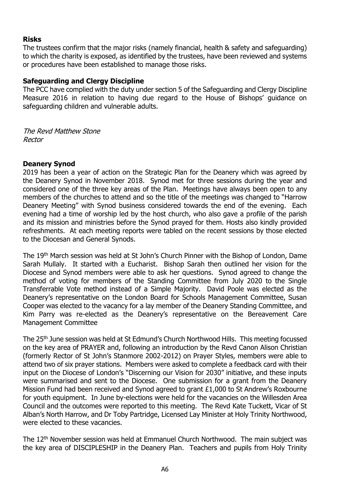## **Risks**

The trustees confirm that the major risks (namely financial, health & safety and safeguarding) to which the charity is exposed, as identified by the trustees, have been reviewed and systems or procedures have been established to manage those risks.

### **Safeguarding and Clergy Discipline**

The PCC have complied with the duty under section 5 of the Safeguarding and Clergy Discipline Measure 2016 in relation to having due regard to the House of Bishops' guidance on safeguarding children and vulnerable adults.

The Revd Matthew Stone Rector

## **Deanery Synod**

2019 has been a year of action on the Strategic Plan for the Deanery which was agreed by the Deanery Synod in November 2018. Synod met for three sessions during the year and considered one of the three key areas of the Plan. Meetings have always been open to any members of the churches to attend and so the title of the meetings was changed to "Harrow Deanery Meeting" with Synod business considered towards the end of the evening. Each evening had a time of worship led by the host church, who also gave a profile of the parish and its mission and ministries before the Synod prayed for them. Hosts also kindly provided refreshments. At each meeting reports were tabled on the recent sessions by those elected to the Diocesan and General Synods.

The 19<sup>th</sup> March session was held at St John's Church Pinner with the Bishop of London, Dame Sarah Mullaly. It started with a Eucharist. Bishop Sarah then outlined her vision for the Diocese and Synod members were able to ask her questions. Synod agreed to change the method of voting for members of the Standing Committee from July 2020 to the Single Transferrable Vote method instead of a Simple Majority. David Poole was elected as the Deanery's representative on the London Board for Schools Management Committee, Susan Cooper was elected to the vacancy for a lay member of the Deanery Standing Committee, and Kim Parry was re-elected as the Deanery's representative on the Bereavement Care Management Committee

The 25<sup>th</sup> June session was held at St Edmund's Church Northwood Hills. This meeting focussed on the key area of PRAYER and, following an introduction by the Revd Canon Alison Christian (formerly Rector of St John's Stanmore 2002-2012) on Prayer Styles, members were able to attend two of six prayer stations. Members were asked to complete a feedback card with their input on the Diocese of London's "Discerning our Vision for 2030" initiative, and these inputs were summarised and sent to the Diocese. One submission for a grant from the Deanery Mission Fund had been received and Synod agreed to grant £1,000 to St Andrew's Roxbourne for youth equipment. In June by-elections were held for the vacancies on the Willesden Area Council and the outcomes were reported to this meeting. The Revd Kate Tuckett, Vicar of St Alban's North Harrow, and Dr Toby Partridge, Licensed Lay Minister at Holy Trinity Northwood, were elected to these vacancies.

The 12<sup>th</sup> November session was held at Emmanuel Church Northwood. The main subject was the key area of DISCIPLESHIP in the Deanery Plan. Teachers and pupils from Holy Trinity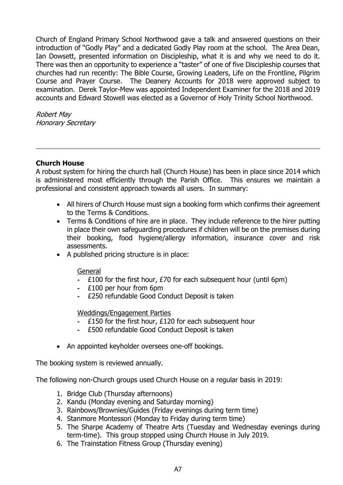Church of England Primary School Northwood gave a talk and answered questions on their introduction of "Godly Play" and a dedicated Godly Play room at the school. The Area Dean, Ian Dowsett, presented information on Discipleship, what it is and why we need to do it. There was then an opportunity to experience a "taster" of one of five Discipleship courses that churches had run recently: The Bible Course, Growing Leaders, Life on the Frontline, Pilgrim Course and Prayer Course. The Deanery Accounts for 2018 were approved subject to examination. Derek Taylor-Mew was appointed Independent Examiner for the 2018 and 2019 accounts and Edward Stowell was elected as a Governor of Holy Trinity School Northwood.

Robert May Honorary Secretary

### **Church House**

A robust system for hiring the church hall (Church House) has been in place since 2014 which is administered most efficiently through the Parish Office. This ensures we maintain a professional and consistent approach towards all users. In summary:

- All hirers of Church House must sign a booking form which confirms their agreement to the Terms & Conditions.
- Terms & Conditions of hire are in place. They include reference to the hirer putting in place their own safeguarding procedures if children will be on the premises during their booking, food hygiene/allergy information, insurance cover and risk assessments.
- A published pricing structure is in place:

### General

- **-** £100 for the first hour, £70 for each subsequent hour (until 6pm)
- **-** £100 per hour from 6pm
- **-** £250 refundable Good Conduct Deposit is taken

### Weddings/Engagement Parties

- **-** £150 for the first hour, £120 for each subsequent hour
- **-** £500 refundable Good Conduct Deposit is taken
- An appointed keyholder oversees one-off bookings.

The booking system is reviewed annually.

The following non-Church groups used Church House on a regular basis in 2019:

- 1. Bridge Club (Thursday afternoons)
- 2. Kandu (Monday evening and Saturday morning)
- 3. Rainbows/Brownies/Guides (Friday evenings during term time)
- 4. Stanmore Montessori (Monday to Friday during term time)
- 5. The Sharpe Academy of Theatre Arts (Tuesday and Wednesday evenings during term-time). This group stopped using Church House in July 2019.
- 6. The Trainstation Fitness Group (Thursday evening)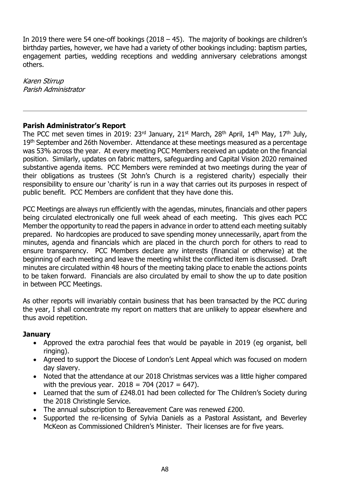In 2019 there were 54 one-off bookings (2018  $-$  45). The majority of bookings are children's birthday parties, however, we have had a variety of other bookings including: baptism parties, engagement parties, wedding receptions and wedding anniversary celebrations amongst others.

Karen Stirrup Parish Administrator

## **Parish Administrator's Report**

The PCC met seven times in 2019:  $23<sup>rd</sup>$  January,  $21<sup>st</sup>$  March,  $28<sup>th</sup>$  April,  $14<sup>th</sup>$  May,  $17<sup>th</sup>$  July, 19<sup>th</sup> September and 26th November. Attendance at these meetings measured as a percentage was 53% across the year. At every meeting PCC Members received an update on the financial position. Similarly, updates on fabric matters, safeguarding and Capital Vision 2020 remained substantive agenda items. PCC Members were reminded at two meetings during the year of their obligations as trustees (St John's Church is a registered charity) especially their responsibility to ensure our 'charity' is run in a way that carries out its purposes in respect of public benefit. PCC Members are confident that they have done this.

PCC Meetings are always run efficiently with the agendas, minutes, financials and other papers being circulated electronically one full week ahead of each meeting. This gives each PCC Member the opportunity to read the papers in advance in order to attend each meeting suitably prepared. No hardcopies are produced to save spending money unnecessarily, apart from the minutes, agenda and financials which are placed in the church porch for others to read to ensure transparency. PCC Members declare any interests (financial or otherwise) at the beginning of each meeting and leave the meeting whilst the conflicted item is discussed. Draft minutes are circulated within 48 hours of the meeting taking place to enable the actions points to be taken forward. Financials are also circulated by email to show the up to date position in between PCC Meetings.

As other reports will invariably contain business that has been transacted by the PCC during the year, I shall concentrate my report on matters that are unlikely to appear elsewhere and thus avoid repetition.

### **January**

- Approved the extra parochial fees that would be payable in 2019 (eg organist, bell ringing).
- Agreed to support the Diocese of London's Lent Appeal which was focused on modern day slavery.
- Noted that the attendance at our 2018 Christmas services was a little higher compared with the previous year.  $2018 = 704 (2017 = 647)$ .
- Learned that the sum of £248.01 had been collected for The Children's Society during the 2018 Christingle Service.
- The annual subscription to Bereavement Care was renewed £200.
- Supported the re-licensing of Sylvia Daniels as a Pastoral Assistant, and Beverley McKeon as Commissioned Children's Minister. Their licenses are for five years.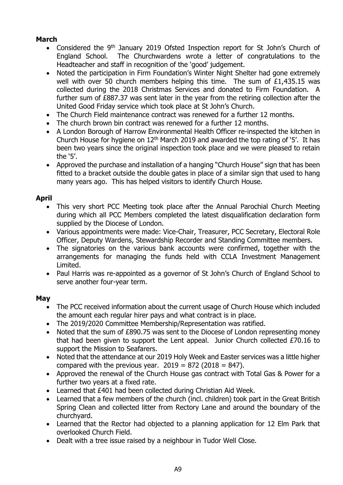# **March**

- Considered the 9<sup>th</sup> January 2019 Ofsted Inspection report for St John's Church of England School. The Churchwardens wrote a letter of congratulations to the Headteacher and staff in recognition of the 'good' judgement.
- Noted the participation in Firm Foundation's Winter Night Shelter had gone extremely well with over 50 church members helping this time. The sum of £1,435.15 was collected during the 2018 Christmas Services and donated to Firm Foundation. A further sum of £887.37 was sent later in the year from the retiring collection after the United Good Friday service which took place at St John's Church.
- The Church Field maintenance contract was renewed for a further 12 months.
- The church brown bin contract was renewed for a further 12 months.
- A London Borough of Harrow Environmental Health Officer re-inspected the kitchen in Church House for hygiene on  $12<sup>th</sup>$  March 2019 and awarded the top rating of '5'. It has been two years since the original inspection took place and we were pleased to retain the '5'.
- Approved the purchase and installation of a hanging "Church House" sign that has been fitted to a bracket outside the double gates in place of a similar sign that used to hang many years ago. This has helped visitors to identify Church House.

# **April**

- This very short PCC Meeting took place after the Annual Parochial Church Meeting during which all PCC Members completed the latest disqualification declaration form supplied by the Diocese of London.
- Various appointments were made: Vice-Chair, Treasurer, PCC Secretary, Electoral Role Officer, Deputy Wardens, Stewardship Recorder and Standing Committee members.
- The signatories on the various bank accounts were confirmed, together with the arrangements for managing the funds held with CCLA Investment Management Limited.
- Paul Harris was re-appointed as a governor of St John's Church of England School to serve another four-year term.

## **May**

- The PCC received information about the current usage of Church House which included the amount each regular hirer pays and what contract is in place.
- The 2019/2020 Committee Membership/Representation was ratified.
- Noted that the sum of £890.75 was sent to the Diocese of London representing money that had been given to support the Lent appeal. Junior Church collected £70.16 to support the Mission to Seafarers.
- Noted that the attendance at our 2019 Holy Week and Easter services was a little higher compared with the previous year.  $2019 = 872$  (2018 = 847).
- Approved the renewal of the Church House gas contract with Total Gas & Power for a further two years at a fixed rate.
- Learned that £401 had been collected during Christian Aid Week.
- Learned that a few members of the church (incl. children) took part in the Great British Spring Clean and collected litter from Rectory Lane and around the boundary of the churchyard.
- Learned that the Rector had objected to a planning application for 12 Elm Park that overlooked Church Field.
- Dealt with a tree issue raised by a neighbour in Tudor Well Close.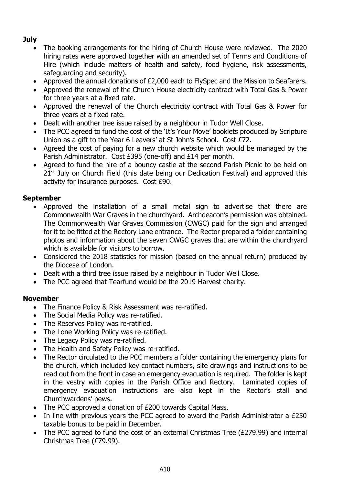# **July**

- The booking arrangements for the hiring of Church House were reviewed. The 2020 hiring rates were approved together with an amended set of Terms and Conditions of Hire (which include matters of health and safety, food hygiene, risk assessments, safeguarding and security).
- Approved the annual donations of £2,000 each to FlySpec and the Mission to Seafarers.
- Approved the renewal of the Church House electricity contract with Total Gas & Power for three years at a fixed rate.
- Approved the renewal of the Church electricity contract with Total Gas & Power for three years at a fixed rate.
- Dealt with another tree issue raised by a neighbour in Tudor Well Close.
- The PCC agreed to fund the cost of the 'It's Your Move' booklets produced by Scripture Union as a gift to the Year 6 Leavers' at St John's School. Cost £72.
- Agreed the cost of paying for a new church website which would be managed by the Parish Administrator. Cost £395 (one-off) and £14 per month.
- Agreed to fund the hire of a bouncy castle at the second Parish Picnic to be held on 21<sup>st</sup> July on Church Field (this date being our Dedication Festival) and approved this activity for insurance purposes. Cost £90.

# **September**

- Approved the installation of a small metal sign to advertise that there are Commonwealth War Graves in the churchyard. Archdeacon's permission was obtained. The Commonwealth War Graves Commission (CWGC) paid for the sign and arranged for it to be fitted at the Rectory Lane entrance. The Rector prepared a folder containing photos and information about the seven CWGC graves that are within the churchyard which is available for visitors to borrow.
- Considered the 2018 statistics for mission (based on the annual return) produced by the Diocese of London.
- Dealt with a third tree issue raised by a neighbour in Tudor Well Close.
- The PCC agreed that Tearfund would be the 2019 Harvest charity.

## **November**

- The Finance Policy & Risk Assessment was re-ratified.
- The Social Media Policy was re-ratified.
- The Reserves Policy was re-ratified.
- The Lone Working Policy was re-ratified.
- The Legacy Policy was re-ratified.
- The Health and Safety Policy was re-ratified.
- The Rector circulated to the PCC members a folder containing the emergency plans for the church, which included key contact numbers, site drawings and instructions to be read out from the front in case an emergency evacuation is required. The folder is kept in the vestry with copies in the Parish Office and Rectory. Laminated copies of emergency evacuation instructions are also kept in the Rector's stall and Churchwardens' pews.
- The PCC approved a donation of £200 towards Capital Mass.
- In line with previous years the PCC agreed to award the Parish Administrator a £250 taxable bonus to be paid in December.
- The PCC agreed to fund the cost of an external Christmas Tree (£279.99) and internal Christmas Tree (£79.99).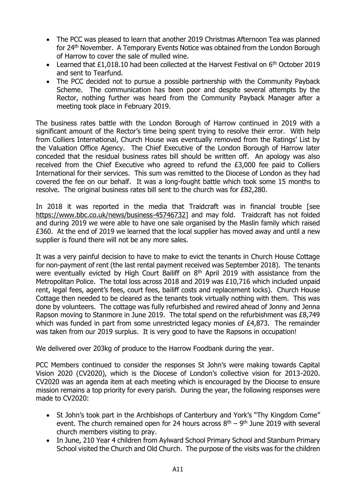- The PCC was pleased to learn that another 2019 Christmas Afternoon Tea was planned for 24th November. A Temporary Events Notice was obtained from the London Borough of Harrow to cover the sale of mulled wine.
- Learned that £1,018.10 had been collected at the Harvest Festival on  $6<sup>th</sup>$  October 2019 and sent to Tearfund.
- The PCC decided not to pursue a possible partnership with the Community Payback Scheme. The communication has been poor and despite several attempts by the Rector, nothing further was heard from the Community Payback Manager after a meeting took place in February 2019.

The business rates battle with the London Borough of Harrow continued in 2019 with a significant amount of the Rector's time being spent trying to resolve their error. With help from Colliers International, Church House was eventually removed from the Ratings' List by the Valuation Office Agency. The Chief Executive of the London Borough of Harrow later conceded that the residual business rates bill should be written off. An apology was also received from the Chief Executive who agreed to refund the £3,000 fee paid to Colliers International for their services. This sum was remitted to the Diocese of London as they had covered the fee on our behalf. It was a long-fought battle which took some 15 months to resolve. The original business rates bill sent to the church was for £82,280.

In 2018 it was reported in the media that Traidcraft was in financial trouble [see [https://www.bbc.co.uk/news/business-45746732\]](https://www.bbc.co.uk/news/business-45746732) and may fold. Traidcraft has not folded and during 2019 we were able to have one sale organised by the Maslin family which raised £360. At the end of 2019 we learned that the local supplier has moved away and until a new supplier is found there will not be any more sales.

It was a very painful decision to have to make to evict the tenants in Church House Cottage for non-payment of rent (the last rental payment received was September 2018). The tenants were eventually evicted by High Court Bailiff on 8<sup>th</sup> April 2019 with assistance from the Metropolitan Police. The total loss across 2018 and 2019 was £10,716 which included unpaid rent, legal fees, agent's fees, court fees, bailiff costs and replacement locks). Church House Cottage then needed to be cleared as the tenants took virtually nothing with them. This was done by volunteers. The cottage was fully refurbished and rewired ahead of Jonny and Jenna Rapson moving to Stanmore in June 2019. The total spend on the refurbishment was £8,749 which was funded in part from some unrestricted legacy monies of £4,873. The remainder was taken from our 2019 surplus. It is very good to have the Rapsons in occupation!

We delivered over 203kg of produce to the Harrow Foodbank during the year.

PCC Members continued to consider the responses St John's were making towards Capital Vision 2020 (CV2020), which is the Diocese of London's collective vision for 2013-2020. CV2020 was an agenda item at each meeting which is encouraged by the Diocese to ensure mission remains a top priority for every parish. During the year, the following responses were made to CV2020:

- St John's took part in the Archbishops of Canterbury and York's "Thy Kingdom Come" event. The church remained open for 24 hours across  $8<sup>th</sup> - 9<sup>th</sup>$  June 2019 with several church members visiting to pray.
- In June, 210 Year 4 children from Aylward School Primary School and Stanburn Primary School visited the Church and Old Church. The purpose of the visits was for the children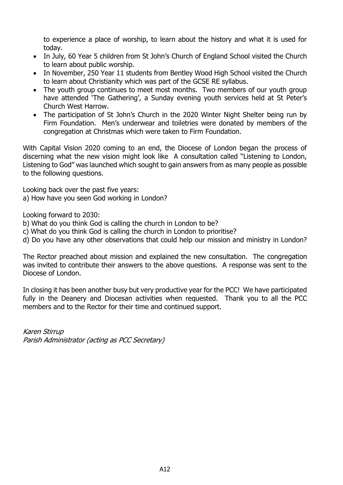to experience a place of worship, to learn about the history and what it is used for today.

- In July, 60 Year 5 children from St John's Church of England School visited the Church to learn about public worship.
- In November, 250 Year 11 students from Bentley Wood High School visited the Church to learn about Christianity which was part of the GCSE RE syllabus.
- The youth group continues to meet most months. Two members of our youth group have attended 'The Gathering', a Sunday evening youth services held at St Peter's Church West Harrow.
- The participation of St John's Church in the 2020 Winter Night Shelter being run by Firm Foundation. Men's underwear and toiletries were donated by members of the congregation at Christmas which were taken to Firm Foundation.

With Capital Vision 2020 coming to an end, the Diocese of London began the process of discerning what the new vision might look like A consultation called "Listening to London, Listening to God" was launched which sought to gain answers from as many people as possible to the following questions.

Looking back over the past five years:

a) How have you seen God working in London?

Looking forward to 2030:

- b) What do you think God is calling the church in London to be?
- c) What do you think God is calling the church in London to prioritise?
- d) Do you have any other observations that could help our mission and ministry in London?

The Rector preached about mission and explained the new consultation. The congregation was invited to contribute their answers to the above questions. A response was sent to the Diocese of London.

In closing it has been another busy but very productive year for the PCC! We have participated fully in the Deanery and Diocesan activities when requested. Thank you to all the PCC members and to the Rector for their time and continued support.

Karen Stirrup Parish Administrator (acting as PCC Secretary)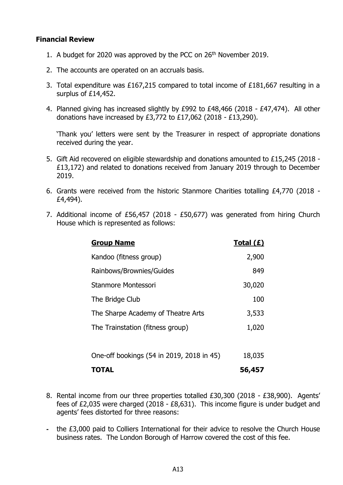### **Financial Review**

- 1. A budget for 2020 was approved by the PCC on 26<sup>th</sup> November 2019.
- 2. The accounts are operated on an accruals basis.
- 3. Total expenditure was £167,215 compared to total income of £181,667 resulting in a surplus of £14,452.
- 4. Planned giving has increased slightly by £992 to £48,466 (2018 £47,474). All other donations have increased by £3,772 to £17,062 (2018 - £13,290).

'Thank you' letters were sent by the Treasurer in respect of appropriate donations received during the year.

- 5. Gift Aid recovered on eligible stewardship and donations amounted to £15,245 (2018 £13,172) and related to donations received from January 2019 through to December 2019.
- 6. Grants were received from the historic Stanmore Charities totalling £4,770 (2018 £4,494).
- 7. Additional income of £56,457 (2018 £50,677) was generated from hiring Church House which is represented as follows:

| <b>Group Name</b>                         | Total $(E)$ |
|-------------------------------------------|-------------|
| Kandoo (fitness group)                    | 2,900       |
| Rainbows/Brownies/Guides                  | 849         |
| Stanmore Montessori                       | 30,020      |
| The Bridge Club                           | 100         |
| The Sharpe Academy of Theatre Arts        | 3,533       |
| The Trainstation (fitness group)          | 1,020       |
|                                           |             |
| One-off bookings (54 in 2019, 2018 in 45) | 18,035      |
| <b>TOTAL</b>                              | 56,457      |

- 8. Rental income from our three properties totalled £30,300 (2018 £38,900). Agents' fees of £2,035 were charged (2018 - £8,631). This income figure is under budget and agents' fees distorted for three reasons:
- **-** the £3,000 paid to Colliers International for their advice to resolve the Church House business rates. The London Borough of Harrow covered the cost of this fee.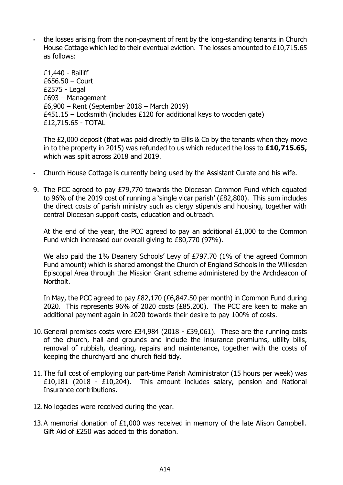**-** the losses arising from the non-payment of rent by the long-standing tenants in Church House Cottage which led to their eventual eviction. The losses amounted to £10,715.65 as follows:

£1,440 - Bailiff £656.50 – Court £2575 - Legal £693 – Management £6,900 – Rent (September 2018 – March 2019)  $£451.15 - Locksmith$  (includes £120 for additional keys to wooden gate) £12,715.65 - TOTAL

The £2,000 deposit (that was paid directly to Ellis & Co by the tenants when they move in to the property in 2015) was refunded to us which reduced the loss to **£10,715.65,** which was split across 2018 and 2019.

- **-** Church House Cottage is currently being used by the Assistant Curate and his wife.
- 9. The PCC agreed to pay £79,770 towards the Diocesan Common Fund which equated to 96% of the 2019 cost of running a 'single vicar parish' (£82,800). This sum includes the direct costs of parish ministry such as clergy stipends and housing, together with central Diocesan support costs, education and outreach.

At the end of the year, the PCC agreed to pay an additional £1,000 to the Common Fund which increased our overall giving to £80,770 (97%).

We also paid the 1% Deanery Schools' Levy of £797.70 (1% of the agreed Common Fund amount) which is shared amongst the Church of England Schools in the Willesden Episcopal Area through the Mission Grant scheme administered by the Archdeacon of Northolt.

In May, the PCC agreed to pay £82,170 (£6,847.50 per month) in Common Fund during 2020. This represents 96% of 2020 costs (£85,200). The PCC are keen to make an additional payment again in 2020 towards their desire to pay 100% of costs.

- 10.General premises costs were £34,984 (2018 £39,061). These are the running costs of the church, hall and grounds and include the insurance premiums, utility bills, removal of rubbish, cleaning, repairs and maintenance, together with the costs of keeping the churchyard and church field tidy.
- 11.The full cost of employing our part-time Parish Administrator (15 hours per week) was £10,181 (2018 - £10,204). This amount includes salary, pension and National Insurance contributions.
- 12.No legacies were received during the year.
- 13.A memorial donation of £1,000 was received in memory of the late Alison Campbell. Gift Aid of £250 was added to this donation.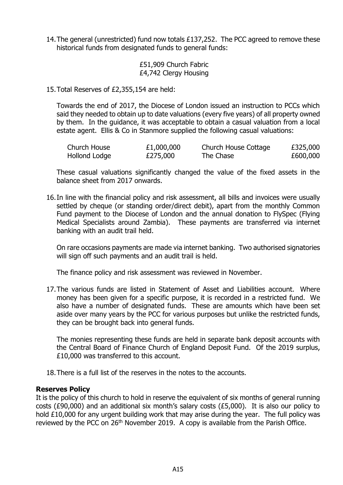14.The general (unrestricted) fund now totals £137,252. The PCC agreed to remove these historical funds from designated funds to general funds:

> £51,909 Church Fabric £4,742 Clergy Housing

15.Total Reserves of £2,355,154 are held:

Towards the end of 2017, the Diocese of London issued an instruction to PCCs which said they needed to obtain up to date valuations (every five years) of all property owned by them. In the guidance, it was acceptable to obtain a casual valuation from a local estate agent. Ellis & Co in Stanmore supplied the following casual valuations:

| Church House  | £1,000,000 | Church House Cottage | £325,000 |
|---------------|------------|----------------------|----------|
| Hollond Lodge | £275,000   | The Chase            | £600,000 |

These casual valuations significantly changed the value of the fixed assets in the balance sheet from 2017 onwards.

16.In line with the financial policy and risk assessment, all bills and invoices were usually settled by cheque (or standing order/direct debit), apart from the monthly Common Fund payment to the Diocese of London and the annual donation to FlySpec (Flying Medical Specialists around Zambia). These payments are transferred via internet banking with an audit trail held.

On rare occasions payments are made via internet banking. Two authorised signatories will sign off such payments and an audit trail is held.

The finance policy and risk assessment was reviewed in November.

17.The various funds are listed in Statement of Asset and Liabilities account. Where money has been given for a specific purpose, it is recorded in a restricted fund. We also have a number of designated funds. These are amounts which have been set aside over many years by the PCC for various purposes but unlike the restricted funds, they can be brought back into general funds.

The monies representing these funds are held in separate bank deposit accounts with the Central Board of Finance Church of England Deposit Fund. Of the 2019 surplus, £10,000 was transferred to this account.

18.There is a full list of the reserves in the notes to the accounts.

### **Reserves Policy**

It is the policy of this church to hold in reserve the equivalent of six months of general running costs (£90,000) and an additional six month's salary costs (£5,000). It is also our policy to hold £10,000 for any urgent building work that may arise during the year. The full policy was reviewed by the PCC on 26<sup>th</sup> November 2019. A copy is available from the Parish Office.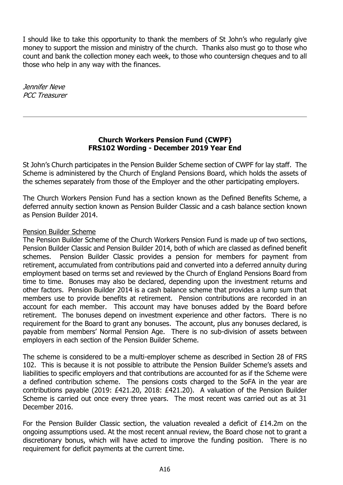I should like to take this opportunity to thank the members of St John's who regularly give money to support the mission and ministry of the church. Thanks also must go to those who count and bank the collection money each week, to those who countersign cheques and to all those who help in any way with the finances.

Jennifer Neve PCC Treasurer

### **Church Workers Pension Fund (CWPF) FRS102 Wording - December 2019 Year End**

St John's Church participates in the Pension Builder Scheme section of CWPF for lay staff. The Scheme is administered by the Church of England Pensions Board, which holds the assets of the schemes separately from those of the Employer and the other participating employers.

The Church Workers Pension Fund has a section known as the Defined Benefits Scheme, a deferred annuity section known as Pension Builder Classic and a cash balance section known as Pension Builder 2014.

### Pension Builder Scheme

The Pension Builder Scheme of the Church Workers Pension Fund is made up of two sections, Pension Builder Classic and Pension Builder 2014, both of which are classed as defined benefit schemes. Pension Builder Classic provides a pension for members for payment from retirement, accumulated from contributions paid and converted into a deferred annuity during employment based on terms set and reviewed by the Church of England Pensions Board from time to time. Bonuses may also be declared, depending upon the investment returns and other factors. Pension Builder 2014 is a cash balance scheme that provides a lump sum that members use to provide benefits at retirement. Pension contributions are recorded in an account for each member. This account may have bonuses added by the Board before retirement. The bonuses depend on investment experience and other factors. There is no requirement for the Board to grant any bonuses. The account, plus any bonuses declared, is payable from members' Normal Pension Age. There is no sub-division of assets between employers in each section of the Pension Builder Scheme.

The scheme is considered to be a multi-employer scheme as described in Section 28 of FRS 102. This is because it is not possible to attribute the Pension Builder Scheme's assets and liabilities to specific employers and that contributions are accounted for as if the Scheme were a defined contribution scheme. The pensions costs charged to the SoFA in the year are contributions payable (2019: £421.20, 2018: £421.20). A valuation of the Pension Builder Scheme is carried out once every three years. The most recent was carried out as at 31 December 2016.

For the Pension Builder Classic section, the valuation revealed a deficit of £14.2m on the ongoing assumptions used. At the most recent annual review, the Board chose not to grant a discretionary bonus, which will have acted to improve the funding position. There is no requirement for deficit payments at the current time.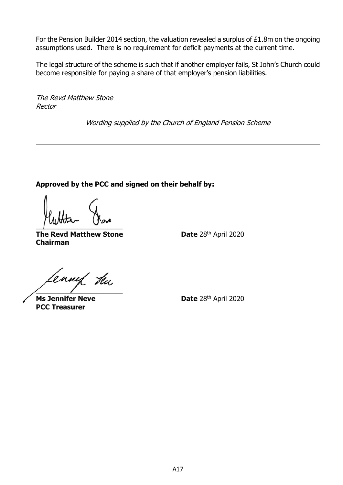For the Pension Builder 2014 section, the valuation revealed a surplus of £1.8m on the ongoing assumptions used. There is no requirement for deficit payments at the current time.

The legal structure of the scheme is such that if another employer fails, St John's Church could become responsible for paying a share of that employer's pension liabilities.

The Revd Matthew Stone Rector

Wording supplied by the Church of England Pension Scheme

**Approved by the PCC and signed on their behalf by:**

 $\overline{\phantom{a}}$ 

**The Revd Matthew Stone Date 28th April 2020 Chairman**

ennef hu  $\overline{\phantom{a}}$ 

**PCC Treasurer**

**Ms Jennifer Neve Date** 28<sup>th</sup> April 2020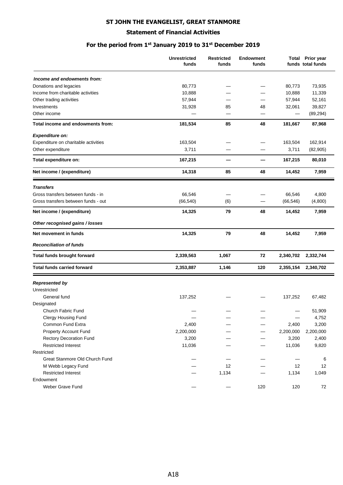#### **ST JOHN THE EVANGELIST, GREAT STANMORE**

#### **Statement of Financial Activities**

### **For the period from 1st January 2019 to 31st December 2019**

|                                      | <b>Unrestricted</b><br>funds | <b>Restricted</b><br>funds | <b>Endowment</b><br>funds |           | <b>Total Prior year</b><br>funds total funds |
|--------------------------------------|------------------------------|----------------------------|---------------------------|-----------|----------------------------------------------|
| Income and endowments from:          |                              |                            |                           |           |                                              |
| Donations and legacies               | 80,773                       |                            |                           | 80,773    | 73,935                                       |
| Income from charitable activities    | 10,888                       |                            |                           | 10,888    | 11,339                                       |
| Other trading activities             | 57,944                       |                            |                           | 57,944    | 52,161                                       |
| Investments                          | 31,928                       | 85                         | 48                        | 32,061    | 39,827                                       |
| Other income                         |                              |                            |                           |           | (89, 294)                                    |
| Total income and endowments from:    | 181,534                      | 85                         | 48                        | 181,667   | 87,968                                       |
| <b>Expenditure on:</b>               |                              |                            |                           |           |                                              |
| Expenditure on charitable activities | 163,504                      |                            |                           | 163,504   | 162,914                                      |
| Other expenditure                    | 3,711                        |                            |                           | 3,711     | (82, 905)                                    |
| Total expenditure on:                | 167,215                      | –                          |                           | 167,215   | 80,010                                       |
| Net income / (expenditure)           | 14,318                       | 85                         | 48                        | 14,452    | 7,959                                        |
| <b>Transfers</b>                     |                              |                            |                           |           |                                              |
| Gross transfers between funds - in   | 66,546                       |                            |                           | 66,546    | 4,800                                        |
| Gross transfers between funds - out  | (66, 540)                    | (6)                        |                           | (66, 546) | (4,800)                                      |
| Net income / (expenditure)           | 14,325                       | 79                         | 48                        | 14,452    | 7,959                                        |
| Other recognised gains / losses      |                              |                            |                           |           |                                              |
| Net movement in funds                | 14,325                       | 79                         | 48                        | 14,452    | 7,959                                        |
| <b>Reconciliation of funds</b>       |                              |                            |                           |           |                                              |
| Total funds brought forward          | 2,339,563                    | 1,067                      | 72                        | 2,340,702 | 2,332,744                                    |
| <b>Total funds carried forward</b>   | 2,353,887                    | 1,146                      | 120                       | 2,355,154 | 2,340,702                                    |
| <b>Represented by</b>                |                              |                            |                           |           |                                              |
| Unrestricted                         |                              |                            |                           |           |                                              |
| General fund                         | 137,252                      |                            |                           | 137,252   | 67,482                                       |
| Designated                           |                              |                            |                           |           |                                              |
| Church Fabric Fund                   |                              |                            |                           |           | 51,909                                       |
| Clergy Housing Fund                  |                              |                            |                           |           | 4,752                                        |
| Common Fund Extra                    | 2,400                        |                            |                           | 2,400     | 3,200                                        |
| Property Account Fund                | 2,200,000                    |                            |                           | 2,200,000 | 2,200,000                                    |
| Rectory Decoration Fund              | 3,200                        |                            |                           | 3,200     | 2,400                                        |
| <b>Restricted Interest</b>           | 11,036                       |                            |                           | 11,036    | 9,820                                        |
| Restricted                           |                              |                            |                           |           |                                              |
| Great Stanmore Old Church Fund       |                              |                            |                           |           | 6                                            |
| M Webb Legacy Fund                   |                              | 12                         |                           | 12        | 12                                           |
| <b>Restricted Interest</b>           |                              | 1,134                      |                           | 1,134     | 1,049                                        |
| Endowment                            |                              |                            |                           |           |                                              |
| Weber Grave Fund                     |                              |                            | 120                       | 120       | 72                                           |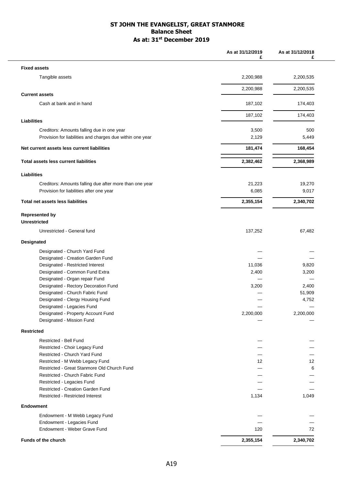#### **ST JOHN THE EVANGELIST, GREAT STANMORE Balance Sheet As at: 31st December 2019**

| <b>Fixed assets</b><br>Tangible assets<br>2,200,988<br>2,200,535<br>2,200,988<br>2,200,535<br><b>Current assets</b><br>Cash at bank and in hand<br>187,102<br>174,403<br>187,102<br>174,403<br>Liabilities<br>3,500<br>500<br>Creditors: Amounts falling due in one year<br>Provision for liabilities and charges due within one year<br>2,129<br>5,449<br>Net current assets less current liabilities<br>181,474<br>168,454<br>2,382,462<br>2,368,989<br><b>Total assets less current liabilities</b><br><b>Liabilities</b><br>21,223<br>Creditors: Amounts falling due after more than one year<br>19,270<br>Provision for liabilities after one year<br>6,085<br>9,017<br>2,355,154<br>2,340,702<br><b>Total net assets less liabilities</b><br><b>Represented by</b><br><b>Unrestricted</b><br>Unrestricted - General fund<br>137,252<br>67,482<br><b>Designated</b><br>Designated - Church Yard Fund<br>Designated - Creation Garden Fund<br>Designated - Restricted Interest<br>11,036<br>9,820<br>Designated - Common Fund Extra<br>2,400<br>3,200<br>Designated - Organ repair Fund<br>Designated - Rectory Decoration Fund<br>2,400<br>3,200<br>Designated - Church Fabric Fund<br>51,909<br>Designated - Clergy Housing Fund<br>4,752<br>Designated - Legacies Fund<br>Designated - Property Account Fund<br>2,200,000<br>2,200,000<br>Designated - Mission Fund<br><b>Restricted</b><br><b>Restricted - Bell Fund</b><br>Restricted - Choir Legacy Fund<br>Restricted - Church Yard Fund<br>Restricted - M Webb Legacy Fund<br>12 <sup>°</sup><br>12<br>Restricted - Great Stanmore Old Church Fund<br>6<br>Restricted - Church Fabric Fund<br>Restricted - Legacies Fund<br>Restricted - Creation Garden Fund<br><b>Restricted - Restricted Interest</b><br>1,134<br>1,049<br><b>Endowment</b><br>Endowment - M Webb Legacy Fund<br>Endowment - Legacies Fund<br>Endowment - Weber Grave Fund<br>120<br>72<br>2,355,154<br><b>Funds of the church</b><br>2,340,702 | As at 31/12/2019<br>£ | As at 31/12/2018<br>£ |
|--------------------------------------------------------------------------------------------------------------------------------------------------------------------------------------------------------------------------------------------------------------------------------------------------------------------------------------------------------------------------------------------------------------------------------------------------------------------------------------------------------------------------------------------------------------------------------------------------------------------------------------------------------------------------------------------------------------------------------------------------------------------------------------------------------------------------------------------------------------------------------------------------------------------------------------------------------------------------------------------------------------------------------------------------------------------------------------------------------------------------------------------------------------------------------------------------------------------------------------------------------------------------------------------------------------------------------------------------------------------------------------------------------------------------------------------------------------------------------------------------------------------------------------------------------------------------------------------------------------------------------------------------------------------------------------------------------------------------------------------------------------------------------------------------------------------------------------------------------------------------------------------------------------------------------------------------------------------------------|-----------------------|-----------------------|
|                                                                                                                                                                                                                                                                                                                                                                                                                                                                                                                                                                                                                                                                                                                                                                                                                                                                                                                                                                                                                                                                                                                                                                                                                                                                                                                                                                                                                                                                                                                                                                                                                                                                                                                                                                                                                                                                                                                                                                                |                       |                       |
|                                                                                                                                                                                                                                                                                                                                                                                                                                                                                                                                                                                                                                                                                                                                                                                                                                                                                                                                                                                                                                                                                                                                                                                                                                                                                                                                                                                                                                                                                                                                                                                                                                                                                                                                                                                                                                                                                                                                                                                |                       |                       |
|                                                                                                                                                                                                                                                                                                                                                                                                                                                                                                                                                                                                                                                                                                                                                                                                                                                                                                                                                                                                                                                                                                                                                                                                                                                                                                                                                                                                                                                                                                                                                                                                                                                                                                                                                                                                                                                                                                                                                                                |                       |                       |
|                                                                                                                                                                                                                                                                                                                                                                                                                                                                                                                                                                                                                                                                                                                                                                                                                                                                                                                                                                                                                                                                                                                                                                                                                                                                                                                                                                                                                                                                                                                                                                                                                                                                                                                                                                                                                                                                                                                                                                                |                       |                       |
|                                                                                                                                                                                                                                                                                                                                                                                                                                                                                                                                                                                                                                                                                                                                                                                                                                                                                                                                                                                                                                                                                                                                                                                                                                                                                                                                                                                                                                                                                                                                                                                                                                                                                                                                                                                                                                                                                                                                                                                |                       |                       |
|                                                                                                                                                                                                                                                                                                                                                                                                                                                                                                                                                                                                                                                                                                                                                                                                                                                                                                                                                                                                                                                                                                                                                                                                                                                                                                                                                                                                                                                                                                                                                                                                                                                                                                                                                                                                                                                                                                                                                                                |                       |                       |
|                                                                                                                                                                                                                                                                                                                                                                                                                                                                                                                                                                                                                                                                                                                                                                                                                                                                                                                                                                                                                                                                                                                                                                                                                                                                                                                                                                                                                                                                                                                                                                                                                                                                                                                                                                                                                                                                                                                                                                                |                       |                       |
|                                                                                                                                                                                                                                                                                                                                                                                                                                                                                                                                                                                                                                                                                                                                                                                                                                                                                                                                                                                                                                                                                                                                                                                                                                                                                                                                                                                                                                                                                                                                                                                                                                                                                                                                                                                                                                                                                                                                                                                |                       |                       |
|                                                                                                                                                                                                                                                                                                                                                                                                                                                                                                                                                                                                                                                                                                                                                                                                                                                                                                                                                                                                                                                                                                                                                                                                                                                                                                                                                                                                                                                                                                                                                                                                                                                                                                                                                                                                                                                                                                                                                                                |                       |                       |
|                                                                                                                                                                                                                                                                                                                                                                                                                                                                                                                                                                                                                                                                                                                                                                                                                                                                                                                                                                                                                                                                                                                                                                                                                                                                                                                                                                                                                                                                                                                                                                                                                                                                                                                                                                                                                                                                                                                                                                                |                       |                       |
|                                                                                                                                                                                                                                                                                                                                                                                                                                                                                                                                                                                                                                                                                                                                                                                                                                                                                                                                                                                                                                                                                                                                                                                                                                                                                                                                                                                                                                                                                                                                                                                                                                                                                                                                                                                                                                                                                                                                                                                |                       |                       |
|                                                                                                                                                                                                                                                                                                                                                                                                                                                                                                                                                                                                                                                                                                                                                                                                                                                                                                                                                                                                                                                                                                                                                                                                                                                                                                                                                                                                                                                                                                                                                                                                                                                                                                                                                                                                                                                                                                                                                                                |                       |                       |
|                                                                                                                                                                                                                                                                                                                                                                                                                                                                                                                                                                                                                                                                                                                                                                                                                                                                                                                                                                                                                                                                                                                                                                                                                                                                                                                                                                                                                                                                                                                                                                                                                                                                                                                                                                                                                                                                                                                                                                                |                       |                       |
|                                                                                                                                                                                                                                                                                                                                                                                                                                                                                                                                                                                                                                                                                                                                                                                                                                                                                                                                                                                                                                                                                                                                                                                                                                                                                                                                                                                                                                                                                                                                                                                                                                                                                                                                                                                                                                                                                                                                                                                |                       |                       |
|                                                                                                                                                                                                                                                                                                                                                                                                                                                                                                                                                                                                                                                                                                                                                                                                                                                                                                                                                                                                                                                                                                                                                                                                                                                                                                                                                                                                                                                                                                                                                                                                                                                                                                                                                                                                                                                                                                                                                                                |                       |                       |
|                                                                                                                                                                                                                                                                                                                                                                                                                                                                                                                                                                                                                                                                                                                                                                                                                                                                                                                                                                                                                                                                                                                                                                                                                                                                                                                                                                                                                                                                                                                                                                                                                                                                                                                                                                                                                                                                                                                                                                                |                       |                       |
|                                                                                                                                                                                                                                                                                                                                                                                                                                                                                                                                                                                                                                                                                                                                                                                                                                                                                                                                                                                                                                                                                                                                                                                                                                                                                                                                                                                                                                                                                                                                                                                                                                                                                                                                                                                                                                                                                                                                                                                |                       |                       |
|                                                                                                                                                                                                                                                                                                                                                                                                                                                                                                                                                                                                                                                                                                                                                                                                                                                                                                                                                                                                                                                                                                                                                                                                                                                                                                                                                                                                                                                                                                                                                                                                                                                                                                                                                                                                                                                                                                                                                                                |                       |                       |
|                                                                                                                                                                                                                                                                                                                                                                                                                                                                                                                                                                                                                                                                                                                                                                                                                                                                                                                                                                                                                                                                                                                                                                                                                                                                                                                                                                                                                                                                                                                                                                                                                                                                                                                                                                                                                                                                                                                                                                                |                       |                       |
|                                                                                                                                                                                                                                                                                                                                                                                                                                                                                                                                                                                                                                                                                                                                                                                                                                                                                                                                                                                                                                                                                                                                                                                                                                                                                                                                                                                                                                                                                                                                                                                                                                                                                                                                                                                                                                                                                                                                                                                |                       |                       |
|                                                                                                                                                                                                                                                                                                                                                                                                                                                                                                                                                                                                                                                                                                                                                                                                                                                                                                                                                                                                                                                                                                                                                                                                                                                                                                                                                                                                                                                                                                                                                                                                                                                                                                                                                                                                                                                                                                                                                                                |                       |                       |
|                                                                                                                                                                                                                                                                                                                                                                                                                                                                                                                                                                                                                                                                                                                                                                                                                                                                                                                                                                                                                                                                                                                                                                                                                                                                                                                                                                                                                                                                                                                                                                                                                                                                                                                                                                                                                                                                                                                                                                                |                       |                       |
|                                                                                                                                                                                                                                                                                                                                                                                                                                                                                                                                                                                                                                                                                                                                                                                                                                                                                                                                                                                                                                                                                                                                                                                                                                                                                                                                                                                                                                                                                                                                                                                                                                                                                                                                                                                                                                                                                                                                                                                |                       |                       |
|                                                                                                                                                                                                                                                                                                                                                                                                                                                                                                                                                                                                                                                                                                                                                                                                                                                                                                                                                                                                                                                                                                                                                                                                                                                                                                                                                                                                                                                                                                                                                                                                                                                                                                                                                                                                                                                                                                                                                                                |                       |                       |
|                                                                                                                                                                                                                                                                                                                                                                                                                                                                                                                                                                                                                                                                                                                                                                                                                                                                                                                                                                                                                                                                                                                                                                                                                                                                                                                                                                                                                                                                                                                                                                                                                                                                                                                                                                                                                                                                                                                                                                                |                       |                       |
|                                                                                                                                                                                                                                                                                                                                                                                                                                                                                                                                                                                                                                                                                                                                                                                                                                                                                                                                                                                                                                                                                                                                                                                                                                                                                                                                                                                                                                                                                                                                                                                                                                                                                                                                                                                                                                                                                                                                                                                |                       |                       |
|                                                                                                                                                                                                                                                                                                                                                                                                                                                                                                                                                                                                                                                                                                                                                                                                                                                                                                                                                                                                                                                                                                                                                                                                                                                                                                                                                                                                                                                                                                                                                                                                                                                                                                                                                                                                                                                                                                                                                                                |                       |                       |
|                                                                                                                                                                                                                                                                                                                                                                                                                                                                                                                                                                                                                                                                                                                                                                                                                                                                                                                                                                                                                                                                                                                                                                                                                                                                                                                                                                                                                                                                                                                                                                                                                                                                                                                                                                                                                                                                                                                                                                                |                       |                       |
|                                                                                                                                                                                                                                                                                                                                                                                                                                                                                                                                                                                                                                                                                                                                                                                                                                                                                                                                                                                                                                                                                                                                                                                                                                                                                                                                                                                                                                                                                                                                                                                                                                                                                                                                                                                                                                                                                                                                                                                |                       |                       |
|                                                                                                                                                                                                                                                                                                                                                                                                                                                                                                                                                                                                                                                                                                                                                                                                                                                                                                                                                                                                                                                                                                                                                                                                                                                                                                                                                                                                                                                                                                                                                                                                                                                                                                                                                                                                                                                                                                                                                                                |                       |                       |
|                                                                                                                                                                                                                                                                                                                                                                                                                                                                                                                                                                                                                                                                                                                                                                                                                                                                                                                                                                                                                                                                                                                                                                                                                                                                                                                                                                                                                                                                                                                                                                                                                                                                                                                                                                                                                                                                                                                                                                                |                       |                       |
|                                                                                                                                                                                                                                                                                                                                                                                                                                                                                                                                                                                                                                                                                                                                                                                                                                                                                                                                                                                                                                                                                                                                                                                                                                                                                                                                                                                                                                                                                                                                                                                                                                                                                                                                                                                                                                                                                                                                                                                |                       |                       |
|                                                                                                                                                                                                                                                                                                                                                                                                                                                                                                                                                                                                                                                                                                                                                                                                                                                                                                                                                                                                                                                                                                                                                                                                                                                                                                                                                                                                                                                                                                                                                                                                                                                                                                                                                                                                                                                                                                                                                                                |                       |                       |
|                                                                                                                                                                                                                                                                                                                                                                                                                                                                                                                                                                                                                                                                                                                                                                                                                                                                                                                                                                                                                                                                                                                                                                                                                                                                                                                                                                                                                                                                                                                                                                                                                                                                                                                                                                                                                                                                                                                                                                                |                       |                       |
|                                                                                                                                                                                                                                                                                                                                                                                                                                                                                                                                                                                                                                                                                                                                                                                                                                                                                                                                                                                                                                                                                                                                                                                                                                                                                                                                                                                                                                                                                                                                                                                                                                                                                                                                                                                                                                                                                                                                                                                |                       |                       |
|                                                                                                                                                                                                                                                                                                                                                                                                                                                                                                                                                                                                                                                                                                                                                                                                                                                                                                                                                                                                                                                                                                                                                                                                                                                                                                                                                                                                                                                                                                                                                                                                                                                                                                                                                                                                                                                                                                                                                                                |                       |                       |
|                                                                                                                                                                                                                                                                                                                                                                                                                                                                                                                                                                                                                                                                                                                                                                                                                                                                                                                                                                                                                                                                                                                                                                                                                                                                                                                                                                                                                                                                                                                                                                                                                                                                                                                                                                                                                                                                                                                                                                                |                       |                       |
|                                                                                                                                                                                                                                                                                                                                                                                                                                                                                                                                                                                                                                                                                                                                                                                                                                                                                                                                                                                                                                                                                                                                                                                                                                                                                                                                                                                                                                                                                                                                                                                                                                                                                                                                                                                                                                                                                                                                                                                |                       |                       |
|                                                                                                                                                                                                                                                                                                                                                                                                                                                                                                                                                                                                                                                                                                                                                                                                                                                                                                                                                                                                                                                                                                                                                                                                                                                                                                                                                                                                                                                                                                                                                                                                                                                                                                                                                                                                                                                                                                                                                                                |                       |                       |
|                                                                                                                                                                                                                                                                                                                                                                                                                                                                                                                                                                                                                                                                                                                                                                                                                                                                                                                                                                                                                                                                                                                                                                                                                                                                                                                                                                                                                                                                                                                                                                                                                                                                                                                                                                                                                                                                                                                                                                                |                       |                       |
|                                                                                                                                                                                                                                                                                                                                                                                                                                                                                                                                                                                                                                                                                                                                                                                                                                                                                                                                                                                                                                                                                                                                                                                                                                                                                                                                                                                                                                                                                                                                                                                                                                                                                                                                                                                                                                                                                                                                                                                |                       |                       |
|                                                                                                                                                                                                                                                                                                                                                                                                                                                                                                                                                                                                                                                                                                                                                                                                                                                                                                                                                                                                                                                                                                                                                                                                                                                                                                                                                                                                                                                                                                                                                                                                                                                                                                                                                                                                                                                                                                                                                                                |                       |                       |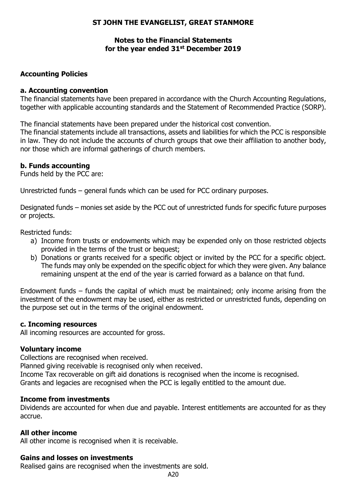# **ST JOHN THE EVANGELIST, GREAT STANMORE**

#### **Notes to the Financial Statements for the year ended 31st December 2019**

#### **Accounting Policies**

#### **a. Accounting convention**

The financial statements have been prepared in accordance with the Church Accounting Regulations, together with applicable accounting standards and the Statement of Recommended Practice (SORP).

The financial statements have been prepared under the historical cost convention.

The financial statements include all transactions, assets and liabilities for which the PCC is responsible in law. They do not include the accounts of church groups that owe their affiliation to another body, nor those which are informal gatherings of church members.

### **b. Funds accounting**

Funds held by the PCC are:

Unrestricted funds – general funds which can be used for PCC ordinary purposes.

Designated funds – monies set aside by the PCC out of unrestricted funds for specific future purposes or projects.

Restricted funds:

- a) Income from trusts or endowments which may be expended only on those restricted objects provided in the terms of the trust or bequest;
- b) Donations or grants received for a specific object or invited by the PCC for a specific object. The funds may only be expended on the specific object for which they were given. Any balance remaining unspent at the end of the year is carried forward as a balance on that fund.

Endowment funds – funds the capital of which must be maintained; only income arising from the investment of the endowment may be used, either as restricted or unrestricted funds, depending on the purpose set out in the terms of the original endowment.

#### **c. Incoming resources**

All incoming resources are accounted for gross.

#### **Voluntary income**

Collections are recognised when received.

Planned giving receivable is recognised only when received.

Income Tax recoverable on gift aid donations is recognised when the income is recognised. Grants and legacies are recognised when the PCC is legally entitled to the amount due.

#### **Income from investments**

Dividends are accounted for when due and payable. Interest entitlements are accounted for as they accrue.

#### **All other income**

All other income is recognised when it is receivable.

#### **Gains and losses on investments**

Realised gains are recognised when the investments are sold.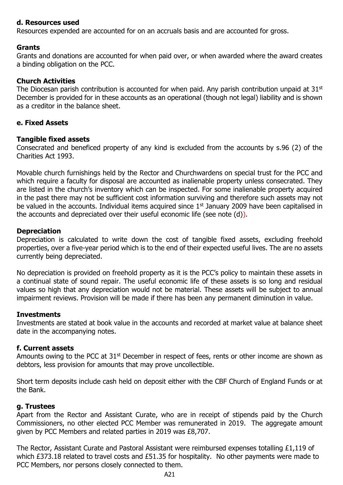#### **d. Resources used**

Resources expended are accounted for on an accruals basis and are accounted for gross.

#### **Grants**

Grants and donations are accounted for when paid over, or when awarded where the award creates a binding obligation on the PCC.

#### **Church Activities**

The Diocesan parish contribution is accounted for when paid. Any parish contribution unpaid at  $31<sup>st</sup>$ December is provided for in these accounts as an operational (though not legal) liability and is shown as a creditor in the balance sheet.

#### **e. Fixed Assets**

#### **Tangible fixed assets**

Consecrated and beneficed property of any kind is excluded from the accounts by s.96 (2) of the Charities Act 1993.

Movable church furnishings held by the Rector and Churchwardens on special trust for the PCC and which require a faculty for disposal are accounted as inalienable property unless consecrated. They are listed in the church's inventory which can be inspected. For some inalienable property acquired in the past there may not be sufficient cost information surviving and therefore such assets may not be valued in the accounts. Individual items acquired since 1<sup>st</sup> January 2009 have been capitalised in the accounts and depreciated over their useful economic life (see note (d)).

#### **Depreciation**

Depreciation is calculated to write down the cost of tangible fixed assets, excluding freehold properties, over a five-year period which is to the end of their expected useful lives. The are no assets currently being depreciated.

No depreciation is provided on freehold property as it is the PCC's policy to maintain these assets in a continual state of sound repair. The useful economic life of these assets is so long and residual values so high that any depreciation would not be material. These assets will be subject to annual impairment reviews. Provision will be made if there has been any permanent diminution in value.

#### **Investments**

Investments are stated at book value in the accounts and recorded at market value at balance sheet date in the accompanying notes.

#### **f. Current assets**

Amounts owing to the PCC at 31<sup>st</sup> December in respect of fees, rents or other income are shown as debtors, less provision for amounts that may prove uncollectible.

Short term deposits include cash held on deposit either with the CBF Church of England Funds or at the Bank.

#### **g. Trustees**

Apart from the Rector and Assistant Curate, who are in receipt of stipends paid by the Church Commissioners, no other elected PCC Member was remunerated in 2019. The aggregate amount given by PCC Members and related parties in 2019 was £8,707.

The Rector, Assistant Curate and Pastoral Assistant were reimbursed expenses totalling £1,119 of which £373.18 related to travel costs and £51.35 for hospitality. No other payments were made to PCC Members, nor persons closely connected to them.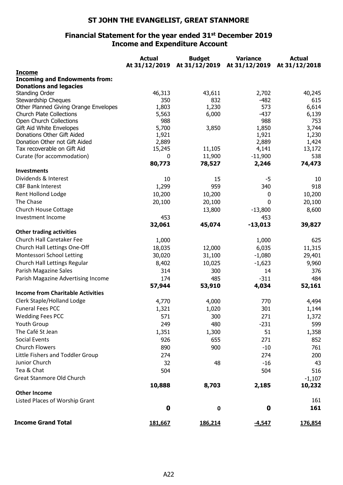# **ST JOHN THE EVANGELIST, GREAT STANMORE**

#### **Financial Statement for the year ended 31st December 2019 Income and Expenditure Account**

|                                                        | <b>Actual</b> | <b>Budget</b> | <b>Variance</b> | <b>Actual</b>  |
|--------------------------------------------------------|---------------|---------------|-----------------|----------------|
|                                                        | At 31/12/2019 | At 31/12/2019 | At 31/12/2019   | At 31/12/2018  |
| <b>Income</b>                                          |               |               |                 |                |
| <b>Incoming and Endowments from:</b>                   |               |               |                 |                |
| <b>Donations and legacies</b>                          |               |               |                 |                |
| <b>Standing Order</b>                                  | 46,313        | 43,611        | 2,702           | 40,245         |
| Stewardship Cheques                                    | 350           | 832           | $-482$          | 615            |
| Other Planned Giving Orange Envelopes                  | 1,803         | 1,230         | 573             | 6,614          |
| <b>Church Plate Collections</b>                        | 5,563<br>988  | 6,000         | $-437$<br>988   | 6,139<br>753   |
| Open Church Collections                                | 5,700         |               | 1,850           |                |
| Gift Aid White Envelopes<br>Donations Other Gift Aided | 1,921         | 3,850         | 1,921           | 3,744<br>1,230 |
| Donation Other not Gift Aided                          | 2,889         |               | 2,889           | 1,424          |
| Tax recoverable on Gift Aid                            | 15,245        | 11,105        | 4,141           | 13,172         |
| Curate (for accommodation)                             | 0             | 11,900        | $-11,900$       | 538            |
|                                                        | 80,773        | 78,527        | 2,246           | 74,473         |
| <b>Investments</b>                                     |               |               |                 |                |
| Dividends & Interest                                   | 10            | 15            | -5              | 10             |
| <b>CBF Bank Interest</b>                               | 1,299         | 959           | 340             | 918            |
| Rent Hollond Lodge                                     |               |               |                 |                |
| The Chase                                              | 10,200        | 10,200        | 0               | 10,200         |
|                                                        | 20,100        | 20,100        | 0               | 20,100         |
| <b>Church House Cottage</b>                            |               | 13,800        | $-13,800$       | 8,600          |
| Investment Income                                      | 453           |               | 453             |                |
|                                                        | 32,061        | 45,074        | $-13,013$       | 39,827         |
| <b>Other trading activities</b>                        |               |               |                 |                |
| Church Hall Caretaker Fee                              | 1,000         |               | 1,000           | 625            |
| Church Hall Lettings One-Off                           | 18,035        | 12,000        | 6,035           | 11,315         |
| Montessori School Letting                              | 30,020        | 31,100        | $-1,080$        | 29,401         |
| Church Hall Lettings Regular                           | 8,402         | 10,025        | $-1,623$        | 9,960          |
| Parish Magazine Sales                                  | 314           | 300           | 14              | 376            |
| Parish Magazine Advertising Income                     | 174           | 485           | $-311$          | 484            |
|                                                        | 57,944        | 53,910        | 4,034           | 52,161         |
| <b>Income from Charitable Activities</b>               |               |               |                 |                |
| Clerk Staple/Holland Lodge                             | 4,770         | 4,000         | 770             | 4,494          |
| <b>Funeral Fees PCC</b>                                | 1,321         | 1,020         | 301             | 1,144          |
| <b>Wedding Fees PCC</b>                                | 571           | 300           | 271             | 1,372          |
| Youth Group                                            | 249           | 480           | $-231$          | 599            |
| The Café St Jean                                       | 1,351         | 1,300         | 51              | 1,358          |
| <b>Social Events</b>                                   | 926           | 655           | 271             | 852            |
| <b>Church Flowers</b>                                  | 890           | 900           | $-10$           | 761            |
| Little Fishers and Toddler Group                       | 274           |               | 274             | 200            |
| Junior Church                                          | 32            | 48            | $-16$           | 43             |
| Tea & Chat                                             | 504           |               | 504             | 516            |
| Great Stanmore Old Church                              |               |               |                 |                |
|                                                        | 10,888        | 8,703         | 2,185           | $-1,107$       |
| <b>Other Income</b>                                    |               |               |                 | 10,232         |
| Listed Places of Worship Grant                         |               |               |                 | 161            |
|                                                        | $\mathbf 0$   |               | $\mathbf 0$     | 161            |
|                                                        |               | 0             |                 |                |
| <b>Income Grand Total</b>                              | 181,667       | 186,214       | $-4,547$        | 176,854        |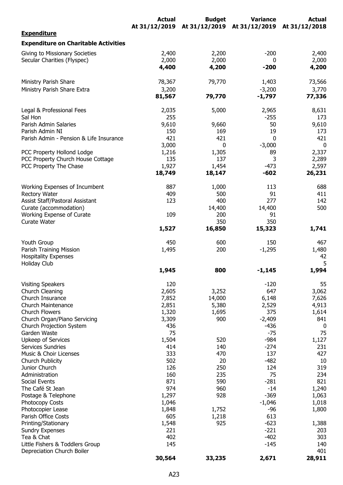|                                                               | <b>Actual</b> | <b>Budget</b>                             | <b>Variance</b> | <b>Actual</b>    |
|---------------------------------------------------------------|---------------|-------------------------------------------|-----------------|------------------|
| <b>Expenditure</b>                                            |               | At 31/12/2019 At 31/12/2019 At 31/12/2019 |                 | At 31/12/2018    |
| <b>Expenditure on Charitable Activities</b>                   |               |                                           |                 |                  |
| Giving to Missionary Societies                                | 2,400         | 2,200                                     | $-200$          | 2,400            |
| Secular Charities (Flyspec)                                   | 2,000         | 2,000                                     | 0               | 2,000            |
|                                                               | 4,400         | 4,200                                     | $-200$          | 4,200            |
| Ministry Parish Share                                         | 78,367        | 79,770                                    | 1,403           | 73,566           |
| Ministry Parish Share Extra                                   | 3,200         |                                           | $-3,200$        | 3,770            |
|                                                               | 81,567        | 79,770                                    | -1,797          | 77,336           |
| Legal & Professional Fees                                     | 2,035         | 5,000                                     | 2,965           | 8,631            |
| Sal Hon                                                       | 255           |                                           | $-255$          | 173              |
| Parish Admin Salaries                                         | 9,610         | 9,660                                     | 50              | 9,610            |
| Parish Admin NI<br>Parish Admin - Pension & Life Insurance    | 150<br>421    | 169<br>421                                | 19<br>0         | 173<br>421       |
|                                                               | 3,000         | 0                                         | $-3,000$        | $\boldsymbol{0}$ |
| PCC Property Hollond Lodge                                    | 1,216         | 1,305                                     | 89              | 2,337            |
| PCC Property Church House Cottage                             | 135           | 137                                       | 3               | 2,289            |
| PCC Property The Chase                                        | 1,927         | 1,454                                     | $-473$          | 2,597            |
|                                                               | 18,749        | 18,147                                    | $-602$          | 26,231           |
| Working Expenses of Incumbent                                 | 887           | 1,000                                     | 113             | 688              |
| <b>Rectory Water</b>                                          | 409           | 500                                       | 91              | 411              |
| Assist Staff/Pastoral Assistant                               | 123           | 400                                       | 277             | 142              |
| Curate (accommodation)                                        |               | 14,400                                    | 14,400          | 500              |
| Working Expense of Curate                                     | 109           | 200                                       | 91              |                  |
| Curate Water                                                  |               | 350                                       | 350             |                  |
|                                                               | 1,527         | 16,850                                    | 15,323          | 1,741            |
| Youth Group                                                   | 450           | 600                                       | 150             | 467              |
| Parish Training Mission                                       | 1,495         | 200                                       | $-1,295$        | 1,480            |
| <b>Hospitality Expenses</b>                                   |               |                                           |                 | 42               |
| Holiday Club                                                  |               |                                           |                 | 5                |
|                                                               | 1,945         | 800                                       | $-1,145$        | 1,994            |
| <b>Visiting Speakers</b>                                      | 120           |                                           | $-120$          | 55               |
| Church Cleaning                                               | 2,605         | 3,252                                     | 647             | 3,062            |
| Church Insurance                                              | 7,852         | 14,000                                    | 6,148           | 7,626            |
| Church Maintenance                                            | 2,851         | 5,380                                     | 2,529           | 4,913            |
| <b>Church Flowers</b>                                         | 1,320         | 1,695                                     | 375             | 1,614            |
| Church Organ/Piano Servicing                                  | 3,309         | 900                                       | $-2,409$        | 841              |
| Church Projection System<br>Garden Waste                      | 436<br>75     |                                           | $-436$<br>$-75$ | 0<br>75          |
| Upkeep of Services                                            | 1,504         | 520                                       | $-984$          | 1,127            |
| Services Sundries                                             | 414           | 140                                       | $-274$          | 231              |
| Music & Choir Licenses                                        | 333           | 470                                       | 137             | 427              |
| Church Publicity                                              | 502           | 20                                        | $-482$          | 10               |
| Junior Church                                                 | 126           | 250                                       | 124             | 319              |
| Administration                                                | 160           | 235                                       | 75              | 234              |
| Social Events                                                 | 871           | 590                                       | $-281$          | 821              |
| The Café St Jean                                              | 974           | 960                                       | $-14$           | 1,240            |
| Postage & Telephone                                           | 1,297         | 928                                       | $-369$          | 1,063            |
| Photocopy Costs                                               | 1,046         |                                           | $-1,046$        | 1,018            |
| Photocopier Lease                                             | 1,848         | 1,752                                     | $-96$           | 1,800            |
| Parish Office Costs                                           | 605           | 1,218                                     | 613             |                  |
| Printing/Stationary                                           | 1,548         | 925                                       | $-623$          | 1,388            |
| <b>Sundry Expenses</b>                                        | 221           |                                           | $-221$          | 203              |
| Tea & Chat                                                    | 402           |                                           | $-402$          | 303              |
| Little Fishers & Toddlers Group<br>Depreciation Church Boiler | 145           |                                           | $-145$          | 140<br>401       |
|                                                               | 30,564        | 33,235                                    | 2,671           | 28,911           |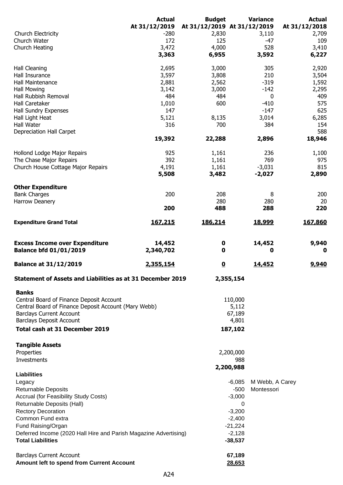|                                                                        | <b>Actual</b>       | <b>Budget</b>           | <b>Variance</b>             | <b>Actual</b> |
|------------------------------------------------------------------------|---------------------|-------------------------|-----------------------------|---------------|
|                                                                        | At 31/12/2019       |                         | At 31/12/2019 At 31/12/2019 | At 31/12/2018 |
| Church Electricity                                                     | $-280$              | 2,830                   | 3,110                       | 2,709         |
| Church Water                                                           | 172                 | 125                     | -47                         | 109           |
| Church Heating                                                         | 3,472               | 4,000                   | 528                         | 3,410         |
|                                                                        | 3,363               | 6,955                   | 3,592                       | 6,227         |
|                                                                        |                     |                         |                             |               |
| Hall Cleaning                                                          | 2,695               | 3,000                   | 305                         | 2,920         |
| Hall Insurance                                                         | 3,597               | 3,808                   | 210                         | 3,504         |
| Hall Maintenance                                                       | 2,881               | 2,562                   | $-319$                      | 1,592         |
| <b>Hall Mowing</b>                                                     | 3,142               | 3,000                   | $-142$                      | 2,295         |
| Hall Rubbish Removal                                                   | 484                 | 484                     | 0                           | 409           |
| Hall Caretaker                                                         | 1,010               | 600                     | $-410$                      | 575           |
| Hall Sundry Expenses                                                   | 147                 |                         | $-147$                      | 625           |
| Hall Light Heat                                                        | 5,121               | 8,135                   | 3,014                       | 6,285         |
| Hall Water                                                             | 316                 | 700                     | 384                         | 154           |
| Depreciation Hall Carpet                                               |                     |                         |                             | 588           |
|                                                                        | 19,392              | 22,288                  | 2,896                       | 18,946        |
|                                                                        |                     |                         |                             |               |
| Hollond Lodge Major Repairs                                            | 925                 | 1,161                   | 236                         | 1,100         |
| The Chase Major Repairs                                                | 392                 | 1,161                   | 769                         | 975           |
| Church House Cottage Major Repairs                                     | 4,191               | 1,161                   | $-3,031$                    | 815           |
|                                                                        |                     |                         |                             |               |
|                                                                        | 5,508               | 3,482                   | $-2,027$                    | 2,890         |
| <b>Other Expenditure</b>                                               |                     |                         |                             |               |
| <b>Bank Charges</b>                                                    | 200                 | 208                     | 8                           | 200           |
|                                                                        |                     | 280                     |                             |               |
| Harrow Deanery                                                         | 200                 | 488                     | 280<br>288                  | 20<br>220     |
|                                                                        |                     |                         |                             |               |
| <b>Expenditure Grand Total</b>                                         | 167,215             | 186,214                 | 18,999                      | 167,860       |
|                                                                        |                     |                         |                             |               |
| <b>Excess Income over Expenditure</b><br><b>Balance bfd 01/01/2019</b> | 14,452<br>2,340,702 | 0<br>0                  | 14,452<br>0                 | 9,940<br>O    |
| <b>Balance at 31/12/2019</b>                                           | 2,355,154           | $\overline{\mathbf{0}}$ | 14,452                      | 9,940         |
| <b>Statement of Assets and Liabilities as at 31 December 2019</b>      |                     |                         | 2,355,154                   |               |
|                                                                        |                     |                         |                             |               |
| <b>Banks</b>                                                           |                     |                         |                             |               |
| Central Board of Finance Deposit Account                               |                     |                         | 110,000                     |               |
| Central Board of Finance Deposit Account (Mary Webb)                   |                     |                         | 5,112                       |               |
| <b>Barclays Current Account</b>                                        |                     |                         | 67,189                      |               |
| <b>Barclays Deposit Account</b>                                        |                     |                         | 4,801                       |               |
| Total cash at 31 December 2019                                         |                     |                         | 187,102                     |               |
| <b>Tangible Assets</b>                                                 |                     |                         |                             |               |
| Properties                                                             |                     |                         | 2,200,000                   |               |
| Investments                                                            |                     |                         | 988                         |               |
|                                                                        |                     |                         | 2,200,988                   |               |
| <b>Liabilities</b>                                                     |                     |                         |                             |               |
| Legacy                                                                 |                     |                         | $-6,085$<br>M Webb, A Carey |               |
| <b>Returnable Deposits</b>                                             |                     |                         | $-500$<br>Montessori        |               |
| Accrual (for Feasibility Study Costs)                                  |                     |                         | $-3,000$                    |               |
| Returnable Deposits (Hall)                                             |                     |                         | 0                           |               |
| <b>Rectory Decoration</b>                                              |                     |                         | $-3,200$                    |               |
| Common Fund extra                                                      |                     |                         |                             |               |
|                                                                        |                     |                         | $-2,400$                    |               |
| Fund Raising/Organ                                                     |                     |                         | $-21,224$                   |               |
| Deferred Income (2020 Hall Hire and Parish Magazine Advertising)       |                     |                         | $-2,128$                    |               |
| <b>Total Liabilities</b>                                               |                     |                         | $-38,537$                   |               |
| <b>Barclays Current Account</b>                                        |                     |                         | 67,189                      |               |
| Amount left to spend from Current Account                              |                     |                         | 28,653                      |               |
|                                                                        |                     |                         |                             |               |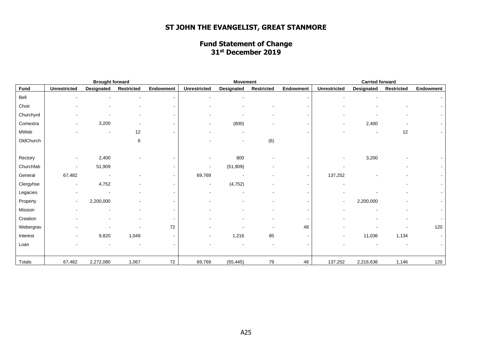# **ST JOHN THE EVANGELIST, GREAT STANMORE**

#### **Fund Statement of Change 31st December 2019**

| <b>Brought forward</b> |                          |                   | <b>Movement</b> |                          |                          |                   | <b>Carried forward</b> |                          |                     |                   |                   |           |
|------------------------|--------------------------|-------------------|-----------------|--------------------------|--------------------------|-------------------|------------------------|--------------------------|---------------------|-------------------|-------------------|-----------|
| Fund                   | <b>Unrestricted</b>      | <b>Designated</b> | Restricted      | Endowment                | <b>Unrestricted</b>      | <b>Designated</b> | <b>Restricted</b>      | Endowment                | <b>Unrestricted</b> | <b>Designated</b> | <b>Restricted</b> | Endowment |
| Bell                   |                          |                   |                 |                          |                          |                   |                        |                          |                     |                   |                   |           |
| Choir                  |                          |                   |                 |                          |                          |                   |                        | $\blacksquare$           |                     |                   |                   |           |
| Churchyrd              |                          |                   |                 |                          |                          |                   |                        | $\blacksquare$           |                     |                   |                   |           |
| Comextra               |                          | 3,200             |                 |                          |                          | (800)             |                        | $\overline{\phantom{a}}$ |                     | 2,400             |                   |           |
| MWeb                   |                          |                   | 12              |                          |                          |                   |                        |                          |                     |                   | 12                |           |
| OldChurch              |                          |                   | 6               |                          |                          |                   | (6)                    |                          |                     |                   |                   |           |
|                        |                          |                   |                 |                          |                          |                   |                        |                          |                     |                   |                   |           |
| Rectory                |                          | 2,400             |                 |                          |                          | 800               |                        |                          |                     | 3,200             |                   |           |
| Churchfab              |                          | 51,909            |                 |                          | $\overline{\phantom{a}}$ | (51, 909)         |                        |                          |                     |                   |                   |           |
| General                | 67,482                   |                   |                 |                          | 69,769                   |                   |                        | $\blacksquare$           | 137,252             |                   |                   |           |
| Clergyhse              | $\blacksquare$           | 4,752             |                 | $\overline{\phantom{a}}$ | $\overline{\phantom{a}}$ | (4, 752)          |                        | $\overline{\phantom{a}}$ |                     |                   |                   |           |
| Legacies               |                          |                   |                 |                          |                          |                   |                        |                          |                     |                   |                   |           |
| Property               | $\overline{\phantom{a}}$ | 2,200,000         |                 |                          |                          |                   |                        |                          |                     | 2,200,000         |                   |           |
| Mission                |                          |                   |                 |                          |                          |                   |                        | $\overline{\phantom{a}}$ |                     |                   |                   |           |
| Creation               |                          |                   |                 |                          |                          |                   |                        | $\overline{\phantom{a}}$ |                     |                   |                   |           |
| Webergrav              |                          |                   |                 | 72                       |                          |                   |                        | 48                       |                     |                   |                   | 120       |
| Interest               |                          | 9,820             | 1,049           |                          |                          | 1,216             | 85                     |                          |                     | 11,036            | 1,134             |           |
| Loan                   |                          |                   |                 |                          |                          |                   |                        | $\sim$                   |                     |                   |                   |           |
|                        |                          |                   |                 |                          |                          |                   |                        |                          |                     |                   |                   |           |
| Totals                 | 67,482                   | 2,272,080         | 1,067           | 72                       | 69,769                   | (55, 445)         | 79                     | 48                       | 137,252             | 2,216,636         | 1,146             | 120       |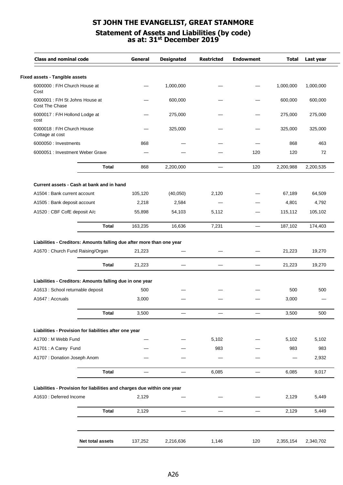## **ST JOHN THE EVANGELIST, GREAT STANMORE Statement of Assets and Liabilities (by code) as at: 31st December 2019**

| <b>Class and nominal code</b>                     |                                                                         | General                  | <b>Designated</b> | <b>Restricted</b> | <b>Endowment</b>         | <b>Total</b> | Last year |
|---------------------------------------------------|-------------------------------------------------------------------------|--------------------------|-------------------|-------------------|--------------------------|--------------|-----------|
| <b>Fixed assets - Tangible assets</b>             |                                                                         |                          |                   |                   |                          |              |           |
| 6000000 : F/H Church House at<br>Cost             |                                                                         |                          | 1,000,000         |                   |                          | 1,000,000    | 1,000,000 |
| 6000001 : F/H St Johns House at<br>Cost The Chase |                                                                         |                          | 600,000           |                   |                          | 600,000      | 600,000   |
| 6000017 : F/H Hollond Lodge at<br>cost            |                                                                         |                          | 275,000           |                   |                          | 275,000      | 275,000   |
| 6000018 : F/H Church House<br>Cottage at cost     |                                                                         |                          | 325,000           |                   |                          | 325,000      | 325,000   |
| 6000050 : Investments                             |                                                                         | 868                      |                   |                   |                          | 868          | 463       |
| 6000051 : Investment Weber Grave                  |                                                                         |                          |                   |                   | 120                      | 120          | 72        |
|                                                   | <b>Total</b>                                                            | 868                      | 2,200,000         |                   | 120                      | 2,200,988    | 2,200,535 |
|                                                   | Current assets - Cash at bank and in hand                               |                          |                   |                   |                          |              |           |
| A1504 : Bank current account                      |                                                                         | 105,120                  | (40,050)          | 2,120             |                          | 67,189       | 64,509    |
| A1505 : Bank deposit account                      |                                                                         | 2,218                    | 2,584             |                   |                          | 4,801        | 4,792     |
| A1520 : CBF CofE deposit A/c                      |                                                                         | 55,898                   | 54,103            | 5,112             |                          | 115,112      | 105,102   |
|                                                   | <b>Total</b>                                                            | 163,235                  | 16,636            | 7,231             | $\overline{\phantom{0}}$ | 187,102      | 174,403   |
|                                                   | Total                                                                   | 21,223                   |                   |                   |                          | 21,223       | 19,270    |
|                                                   | Liabilities - Creditors: Amounts falling due in one year                |                          |                   |                   |                          |              |           |
| A1613 : School returnable deposit                 |                                                                         | 500                      |                   |                   |                          | 500          | 500       |
| A1647: Accruals                                   |                                                                         | 3,000                    |                   |                   |                          | 3,000        |           |
|                                                   | <b>Total</b>                                                            | 3,500                    |                   |                   |                          | 3,500        | 500       |
|                                                   | Liabilities - Provision for liabilities after one year                  |                          |                   |                   |                          |              |           |
| A1700 : M Webb Fund                               |                                                                         |                          |                   | 5,102             |                          | 5,102        | 5,102     |
| A1701 : A Carey Fund                              |                                                                         |                          |                   | 983               |                          | 983          | 983       |
| A1707 : Donation Joseph Anom                      |                                                                         |                          |                   |                   |                          |              | 2,932     |
|                                                   | <b>Total</b>                                                            | $\overline{\phantom{0}}$ |                   | 6,085             |                          | 6,085        | 9,017     |
|                                                   | Liabilities - Provision for liabilities and charges due within one year |                          |                   |                   |                          |              |           |
| A1610 : Deferred Income                           |                                                                         | 2,129                    |                   |                   |                          | 2,129        | 5,449     |
|                                                   | <b>Total</b>                                                            | 2,129                    |                   |                   |                          | 2,129        | 5,449     |
|                                                   |                                                                         |                          |                   |                   |                          |              |           |
|                                                   |                                                                         |                          |                   |                   |                          |              |           |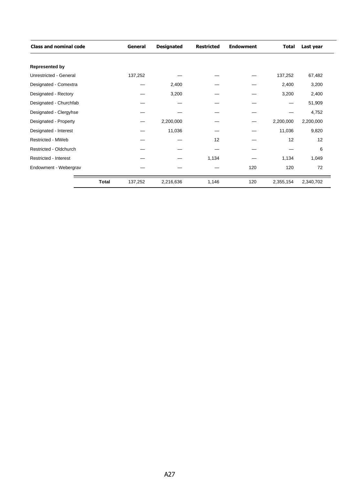| <b>Class and nominal code</b> | General                 | <b>Designated</b> | <b>Restricted</b> | <b>Endowment</b> | Total     | Last year |
|-------------------------------|-------------------------|-------------------|-------------------|------------------|-----------|-----------|
| <b>Represented by</b>         |                         |                   |                   |                  |           |           |
| Unrestricted - General        | 137,252                 |                   |                   |                  | 137,252   | 67,482    |
| Designated - Comextra         |                         | 2,400             |                   |                  | 2,400     | 3,200     |
| Designated - Rectory          |                         | 3,200             |                   |                  | 3,200     | 2,400     |
| Designated - Churchfab        |                         |                   |                   |                  |           | 51,909    |
| Designated - Clergyhse        |                         |                   |                   |                  |           | 4,752     |
| Designated - Property         |                         | 2,200,000         |                   |                  | 2,200,000 | 2,200,000 |
| Designated - Interest         |                         | 11,036            |                   |                  | 11,036    | 9,820     |
| Restricted - MWeb             |                         |                   | 12                |                  | 12        | 12        |
| Restricted - Oldchurch        |                         |                   |                   |                  |           | 6         |
| <b>Restricted - Interest</b>  |                         |                   | 1,134             |                  | 1,134     | 1,049     |
| Endowment - Webergrav         |                         |                   |                   | 120              | 120       | 72        |
|                               | <b>Total</b><br>137,252 | 2,216,636         | 1,146             | 120              | 2,355,154 | 2,340,702 |